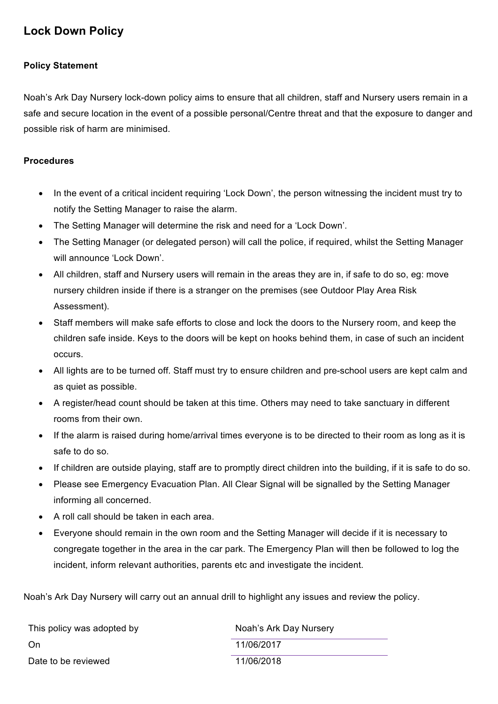## **Lock Down Policy**

## **Policy Statement**

Noah's Ark Day Nursery lock-down policy aims to ensure that all children, staff and Nursery users remain in a safe and secure location in the event of a possible personal/Centre threat and that the exposure to danger and possible risk of harm are minimised.

## **Procedures**

- In the event of a critical incident requiring 'Lock Down', the person witnessing the incident must try to notify the Setting Manager to raise the alarm.
- The Setting Manager will determine the risk and need for a 'Lock Down'.
- The Setting Manager (or delegated person) will call the police, if required, whilst the Setting Manager will announce 'Lock Down'.
- All children, staff and Nursery users will remain in the areas they are in, if safe to do so, eg: move nursery children inside if there is a stranger on the premises (see Outdoor Play Area Risk Assessment).
- Staff members will make safe efforts to close and lock the doors to the Nursery room, and keep the children safe inside. Keys to the doors will be kept on hooks behind them, in case of such an incident occurs.
- All lights are to be turned off. Staff must try to ensure children and pre-school users are kept calm and as quiet as possible.
- A register/head count should be taken at this time. Others may need to take sanctuary in different rooms from their own.
- If the alarm is raised during home/arrival times everyone is to be directed to their room as long as it is safe to do so.
- If children are outside playing, staff are to promptly direct children into the building, if it is safe to do so.
- Please see Emergency Evacuation Plan. All Clear Signal will be signalled by the Setting Manager informing all concerned.
- A roll call should be taken in each area.
- Everyone should remain in the own room and the Setting Manager will decide if it is necessary to congregate together in the area in the car park. The Emergency Plan will then be followed to log the incident, inform relevant authorities, parents etc and investigate the incident.

Noah's Ark Day Nursery will carry out an annual drill to highlight any issues and review the policy.

| This policy was adopted by | Noah's Ark Day Nursery |
|----------------------------|------------------------|
| On                         | 11/06/2017             |
| Date to be reviewed        | 11/06/2018             |